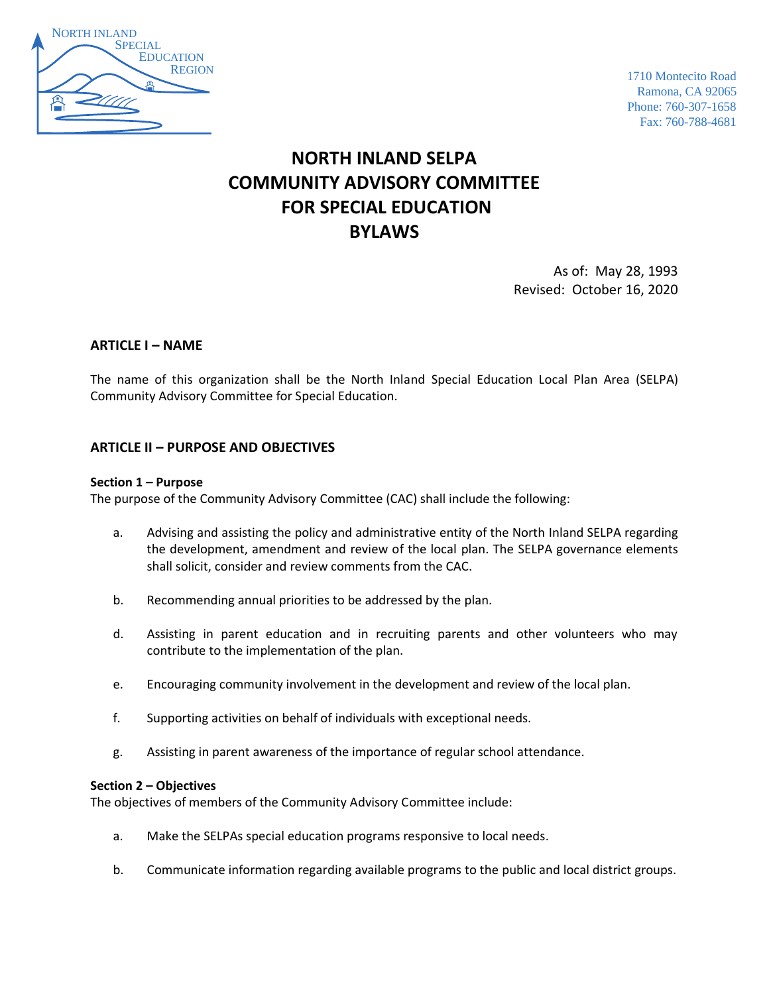

1710 Montecito Road Ramona, CA 92065 Phone: 760-307-1658 Fax: 760-788-4681

# **NORTH INLAND SELPA COMMUNITY ADVISORY COMMITTEE FOR SPECIAL EDUCATION BYLAWS**

As of: May 28, 1993 Revised: October 16, 2020

# **ARTICLE I – NAME**

The name of this organization shall be the North Inland Special Education Local Plan Area (SELPA) Community Advisory Committee for Special Education.

# **ARTICLE II – PURPOSE AND OBJECTIVES**

#### **Section 1 – Purpose**

The purpose of the Community Advisory Committee (CAC) shall include the following:

- a. Advising and assisting the policy and administrative entity of the North Inland SELPA regarding the development, amendment and review of the local plan. The SELPA governance elements shall solicit, consider and review comments from the CAC.
- b. Recommending annual priorities to be addressed by the plan.
- d. Assisting in parent education and in recruiting parents and other volunteers who may contribute to the implementation of the plan.
- e. Encouraging community involvement in the development and review of the local plan.
- f. Supporting activities on behalf of individuals with exceptional needs.
- g. Assisting in parent awareness of the importance of regular school attendance.

#### **Section 2 – Objectives**

The objectives of members of the Community Advisory Committee include:

- a. Make the SELPAs special education programs responsive to local needs.
- b. Communicate information regarding available programs to the public and local district groups.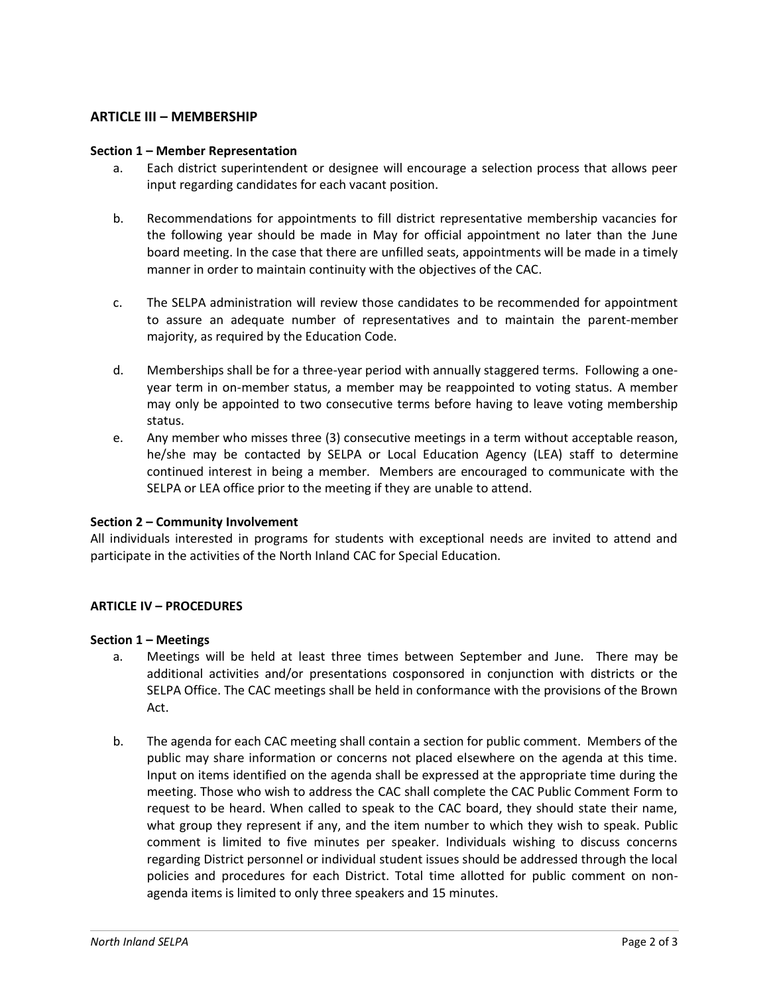# **ARTICLE III – MEMBERSHIP**

#### **Section 1 – Member Representation**

- a. Each district superintendent or designee will encourage a selection process that allows peer input regarding candidates for each vacant position.
- b. Recommendations for appointments to fill district representative membership vacancies for the following year should be made in May for official appointment no later than the June board meeting. In the case that there are unfilled seats, appointments will be made in a timely manner in order to maintain continuity with the objectives of the CAC.
- c. The SELPA administration will review those candidates to be recommended for appointment to assure an adequate number of representatives and to maintain the parent-member majority, as required by the Education Code.
- d. Memberships shall be for a three-year period with annually staggered terms. Following a oneyear term in on-member status, a member may be reappointed to voting status. A member may only be appointed to two consecutive terms before having to leave voting membership status.
- e. Any member who misses three (3) consecutive meetings in a term without acceptable reason, he/she may be contacted by SELPA or Local Education Agency (LEA) staff to determine continued interest in being a member. Members are encouraged to communicate with the SELPA or LEA office prior to the meeting if they are unable to attend.

## **Section 2 – Community Involvement**

All individuals interested in programs for students with exceptional needs are invited to attend and participate in the activities of the North Inland CAC for Special Education.

## **ARTICLE IV – PROCEDURES**

#### **Section 1 – Meetings**

- a. Meetings will be held at least three times between September and June. There may be additional activities and/or presentations cosponsored in conjunction with districts or the SELPA Office. The CAC meetings shall be held in conformance with the provisions of the Brown Act.
- b. The agenda for each CAC meeting shall contain a section for public comment. Members of the public may share information or concerns not placed elsewhere on the agenda at this time. Input on items identified on the agenda shall be expressed at the appropriate time during the meeting. Those who wish to address the CAC shall complete the CAC Public Comment Form to request to be heard. When called to speak to the CAC board, they should state their name, what group they represent if any, and the item number to which they wish to speak. Public comment is limited to five minutes per speaker. Individuals wishing to discuss concerns regarding District personnel or individual student issues should be addressed through the local policies and procedures for each District. Total time allotted for public comment on nonagenda items is limited to only three speakers and 15 minutes.